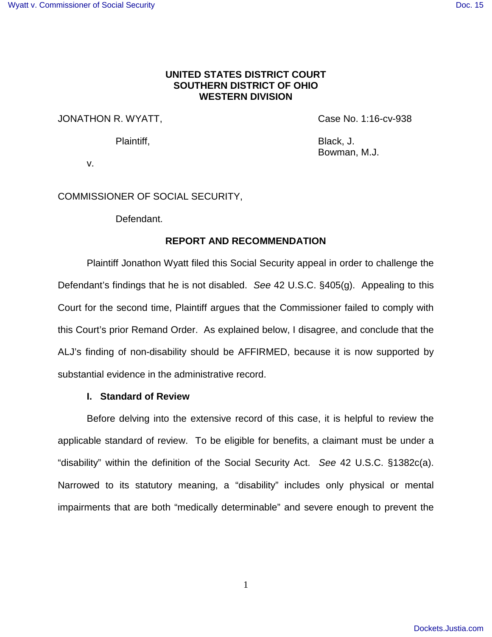# **UNITED STATES DISTRICT COURT SOUTHERN DISTRICT OF OHIO WESTERN DIVISION**

# JONATHON R. WYATT, Same Case No. 1:16-cv-938

Plaintiff, Black, J. Bowman, M.J.

v.

# COMMISSIONER OF SOCIAL SECURITY,

Defendant.

# **REPORT AND RECOMMENDATION**

Plaintiff Jonathon Wyatt filed this Social Security appeal in order to challenge the Defendant's findings that he is not disabled. See 42 U.S.C. §405(g). Appealing to this Court for the second time, Plaintiff argues that the Commissioner failed to comply with this Court's prior Remand Order. As explained below, I disagree, and conclude that the ALJ's finding of non-disability should be AFFIRMED, because it is now supported by substantial evidence in the administrative record.

## **I. Standard of Review**

Before delving into the extensive record of this case, it is helpful to review the applicable standard of review. To be eligible for benefits, a claimant must be under a "disability" within the definition of the Social Security Act. See 42 U.S.C. §1382c(a). Narrowed to its statutory meaning, a "disability" includes only physical or mental impairments that are both "medically determinable" and severe enough to prevent the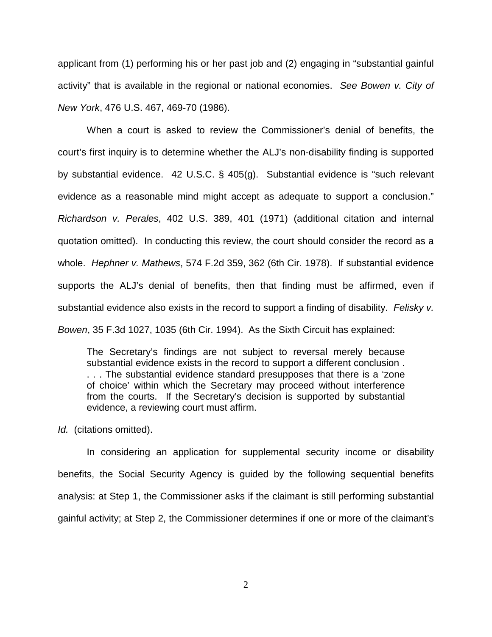applicant from (1) performing his or her past job and (2) engaging in "substantial gainful activity" that is available in the regional or national economies. See Bowen v. City of New York, 476 U.S. 467, 469-70 (1986).

When a court is asked to review the Commissioner's denial of benefits, the court's first inquiry is to determine whether the ALJ's non-disability finding is supported by substantial evidence. 42 U.S.C. § 405(g). Substantial evidence is "such relevant evidence as a reasonable mind might accept as adequate to support a conclusion." Richardson v. Perales, 402 U.S. 389, 401 (1971) (additional citation and internal quotation omitted). In conducting this review, the court should consider the record as a whole. Hephner v. Mathews, 574 F.2d 359, 362 (6th Cir. 1978). If substantial evidence supports the ALJ's denial of benefits, then that finding must be affirmed, even if substantial evidence also exists in the record to support a finding of disability. Felisky v. Bowen, 35 F.3d 1027, 1035 (6th Cir. 1994). As the Sixth Circuit has explained:

The Secretary's findings are not subject to reversal merely because substantial evidence exists in the record to support a different conclusion . . . . The substantial evidence standard presupposes that there is a 'zone of choice' within which the Secretary may proceed without interference from the courts. If the Secretary's decision is supported by substantial evidence, a reviewing court must affirm.

Id. (citations omitted).

In considering an application for supplemental security income or disability benefits, the Social Security Agency is guided by the following sequential benefits analysis: at Step 1, the Commissioner asks if the claimant is still performing substantial gainful activity; at Step 2, the Commissioner determines if one or more of the claimant's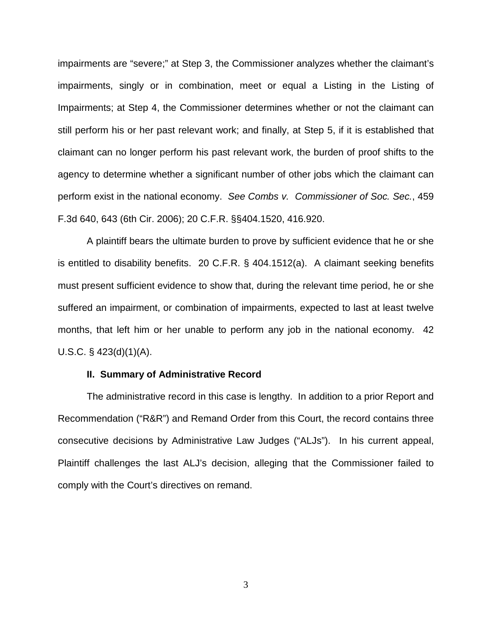impairments are "severe;" at Step 3, the Commissioner analyzes whether the claimant's impairments, singly or in combination, meet or equal a Listing in the Listing of Impairments; at Step 4, the Commissioner determines whether or not the claimant can still perform his or her past relevant work; and finally, at Step 5, if it is established that claimant can no longer perform his past relevant work, the burden of proof shifts to the agency to determine whether a significant number of other jobs which the claimant can perform exist in the national economy. See Combs v. Commissioner of Soc. Sec., 459 F.3d 640, 643 (6th Cir. 2006); 20 C.F.R. §§404.1520, 416.920.

A plaintiff bears the ultimate burden to prove by sufficient evidence that he or she is entitled to disability benefits. 20 C.F.R. § 404.1512(a). A claimant seeking benefits must present sufficient evidence to show that, during the relevant time period, he or she suffered an impairment, or combination of impairments, expected to last at least twelve months, that left him or her unable to perform any job in the national economy. 42 U.S.C. § 423(d)(1)(A).

### **II. Summary of Administrative Record**

The administrative record in this case is lengthy. In addition to a prior Report and Recommendation ("R&R") and Remand Order from this Court, the record contains three consecutive decisions by Administrative Law Judges ("ALJs"). In his current appeal, Plaintiff challenges the last ALJ's decision, alleging that the Commissioner failed to comply with the Court's directives on remand.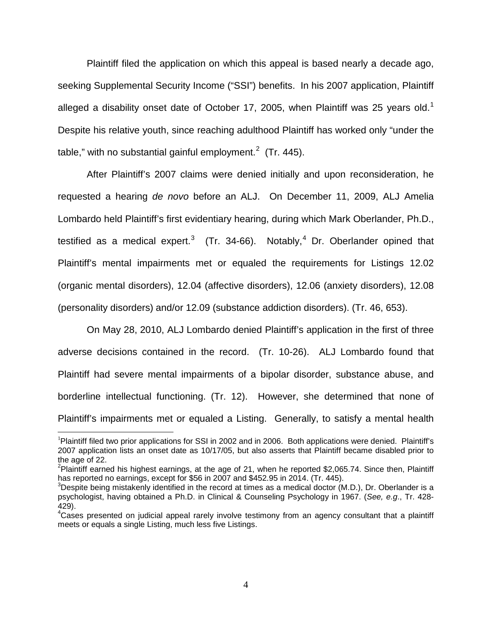Plaintiff filed the application on which this appeal is based nearly a decade ago, seeking Supplemental Security Income ("SSI") benefits. In his 2007 application, Plaintiff alleged a disability onset date of October [1](#page-3-0)7, 2005, when Plaintiff was 25 years old.<sup>1</sup> Despite his relative youth, since reaching adulthood Plaintiff has worked only "under the table," with no substantial gainful employment.<sup>[2](#page-3-1)</sup> (Tr. 445).

After Plaintiff's 2007 claims were denied initially and upon reconsideration, he requested a hearing de novo before an ALJ. On December 11, 2009, ALJ Amelia Lombardo held Plaintiff's first evidentiary hearing, during which Mark Oberlander, Ph.D., testified as a medical expert.<sup>[3](#page-3-2)</sup> (Tr. 3[4](#page-3-3)-66). Notably,<sup>4</sup> Dr. Oberlander opined that Plaintiff's mental impairments met or equaled the requirements for Listings 12.02 (organic mental disorders), 12.04 (affective disorders), 12.06 (anxiety disorders), 12.08 (personality disorders) and/or 12.09 (substance addiction disorders). (Tr. 46, 653).

On May 28, 2010, ALJ Lombardo denied Plaintiff's application in the first of three adverse decisions contained in the record. (Tr. 10-26). ALJ Lombardo found that Plaintiff had severe mental impairments of a bipolar disorder, substance abuse, and borderline intellectual functioning. (Tr. 12). However, she determined that none of Plaintiff's impairments met or equaled a Listing. Generally, to satisfy a mental health

<u>.</u>

<span id="page-3-0"></span><sup>&</sup>lt;sup>1</sup>Plaintiff filed two prior applications for SSI in 2002 and in 2006. Both applications were denied. Plaintiff's 2007 application lists an onset date as 10/17/05, but also asserts that Plaintiff became disabled prior to the age of 22.

<span id="page-3-1"></span><sup>&</sup>lt;sup>2</sup>Plaintiff earned his highest earnings, at the age of 21, when he reported \$2,065.74. Since then, Plaintiff has reported no earnings, except for \$56 in 2007 and \$452.95 in 2014. (Tr. 445).

<span id="page-3-2"></span> $3$ Despite being mistakenly identified in the record at times as a medical doctor (M.D.), Dr. Oberlander is a psychologist, having obtained a Ph.D. in Clinical & Counseling Psychology in 1967. (See, e.g., Tr. 428- 429).

<span id="page-3-3"></span><sup>4</sup>Cases presented on judicial appeal rarely involve testimony from an agency consultant that a plaintiff meets or equals a single Listing, much less five Listings.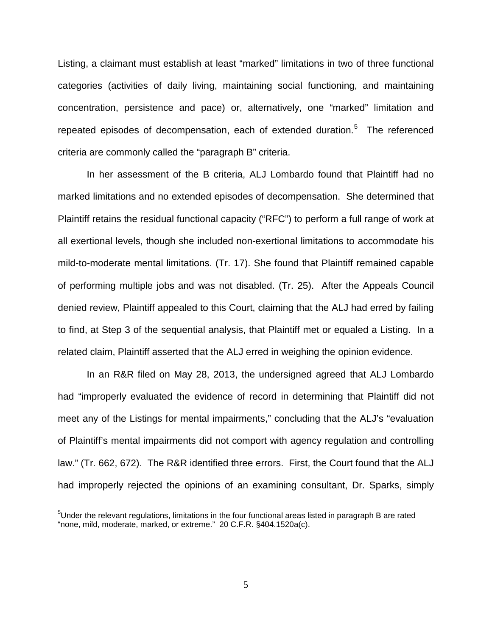Listing, a claimant must establish at least "marked" limitations in two of three functional categories (activities of daily living, maintaining social functioning, and maintaining concentration, persistence and pace) or, alternatively, one "marked" limitation and repeated episodes of decompensation, each of extended duration.<sup>[5](#page-4-0)</sup> The referenced criteria are commonly called the "paragraph B" criteria.

In her assessment of the B criteria, ALJ Lombardo found that Plaintiff had no marked limitations and no extended episodes of decompensation. She determined that Plaintiff retains the residual functional capacity ("RFC") to perform a full range of work at all exertional levels, though she included non-exertional limitations to accommodate his mild-to-moderate mental limitations. (Tr. 17). She found that Plaintiff remained capable of performing multiple jobs and was not disabled. (Tr. 25). After the Appeals Council denied review, Plaintiff appealed to this Court, claiming that the ALJ had erred by failing to find, at Step 3 of the sequential analysis, that Plaintiff met or equaled a Listing. In a related claim, Plaintiff asserted that the ALJ erred in weighing the opinion evidence.

In an R&R filed on May 28, 2013, the undersigned agreed that ALJ Lombardo had "improperly evaluated the evidence of record in determining that Plaintiff did not meet any of the Listings for mental impairments," concluding that the ALJ's "evaluation of Plaintiff's mental impairments did not comport with agency regulation and controlling law." (Tr. 662, 672). The R&R identified three errors. First, the Court found that the ALJ had improperly rejected the opinions of an examining consultant, Dr. Sparks, simply

 $\overline{a}$ 

<span id="page-4-0"></span> $5$ Under the relevant regulations, limitations in the four functional areas listed in paragraph B are rated "none, mild, moderate, marked, or extreme." 20 C.F.R. §404.1520a(c).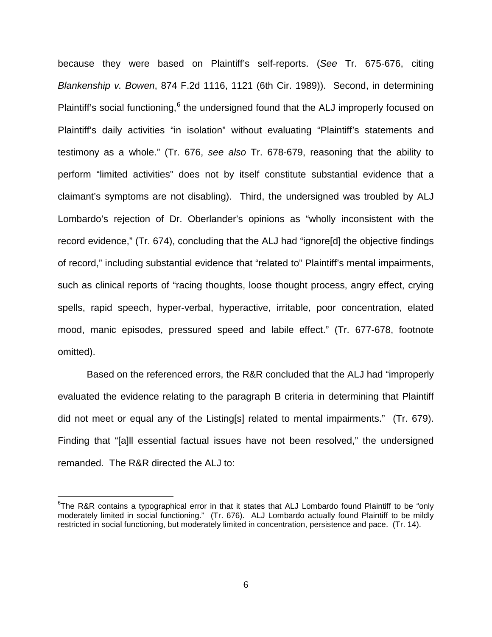because they were based on Plaintiff's self-reports. (See Tr. 675-676, citing Blankenship v. Bowen, 874 F.2d 1116, 1121 (6th Cir. 1989)). Second, in determining Plaintiff's social functioning, <sup>[6](#page-5-0)</sup> the undersigned found that the ALJ improperly focused on Plaintiff's daily activities "in isolation" without evaluating "Plaintiff's statements and testimony as a whole." (Tr. 676, see also Tr. 678-679, reasoning that the ability to perform "limited activities" does not by itself constitute substantial evidence that a claimant's symptoms are not disabling). Third, the undersigned was troubled by ALJ Lombardo's rejection of Dr. Oberlander's opinions as "wholly inconsistent with the record evidence," (Tr. 674), concluding that the ALJ had "ignore[d] the objective findings of record," including substantial evidence that "related to" Plaintiff's mental impairments, such as clinical reports of "racing thoughts, loose thought process, angry effect, crying spells, rapid speech, hyper-verbal, hyperactive, irritable, poor concentration, elated mood, manic episodes, pressured speed and labile effect." (Tr. 677-678, footnote omitted).

Based on the referenced errors, the R&R concluded that the ALJ had "improperly evaluated the evidence relating to the paragraph B criteria in determining that Plaintiff did not meet or equal any of the Listing[s] related to mental impairments." (Tr. 679). Finding that "[a]ll essential factual issues have not been resolved," the undersigned remanded. The R&R directed the ALJ to:

<u>.</u>

<span id="page-5-0"></span><sup>&</sup>lt;sup>6</sup>The R&R contains a typographical error in that it states that ALJ Lombardo found Plaintiff to be "only moderately limited in social functioning." (Tr. 676). ALJ Lombardo actually found Plaintiff to be mildly restricted in social functioning, but moderately limited in concentration, persistence and pace. (Tr. 14).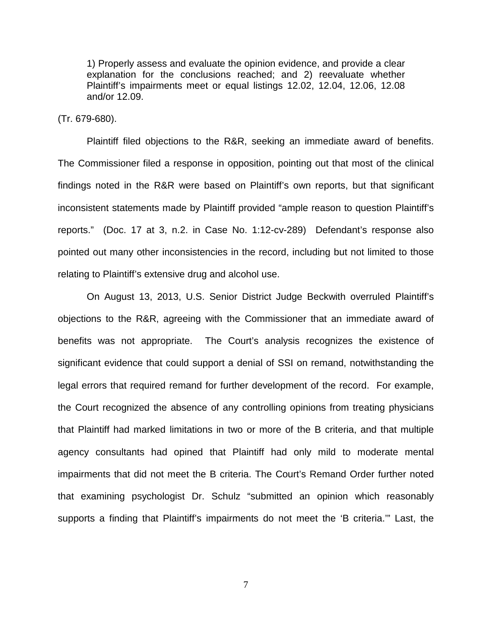1) Properly assess and evaluate the opinion evidence, and provide a clear explanation for the conclusions reached; and 2) reevaluate whether Plaintiff's impairments meet or equal listings 12.02, 12.04, 12.06, 12.08 and/or 12.09.

### (Tr. 679-680).

Plaintiff filed objections to the R&R, seeking an immediate award of benefits. The Commissioner filed a response in opposition, pointing out that most of the clinical findings noted in the R&R were based on Plaintiff's own reports, but that significant inconsistent statements made by Plaintiff provided "ample reason to question Plaintiff's reports." (Doc. 17 at 3, n.2. in Case No. 1:12-cv-289) Defendant's response also pointed out many other inconsistencies in the record, including but not limited to those relating to Plaintiff's extensive drug and alcohol use.

On August 13, 2013, U.S. Senior District Judge Beckwith overruled Plaintiff's objections to the R&R, agreeing with the Commissioner that an immediate award of benefits was not appropriate. The Court's analysis recognizes the existence of significant evidence that could support a denial of SSI on remand, notwithstanding the legal errors that required remand for further development of the record. For example, the Court recognized the absence of any controlling opinions from treating physicians that Plaintiff had marked limitations in two or more of the B criteria, and that multiple agency consultants had opined that Plaintiff had only mild to moderate mental impairments that did not meet the B criteria. The Court's Remand Order further noted that examining psychologist Dr. Schulz "submitted an opinion which reasonably supports a finding that Plaintiff's impairments do not meet the 'B criteria.'" Last, the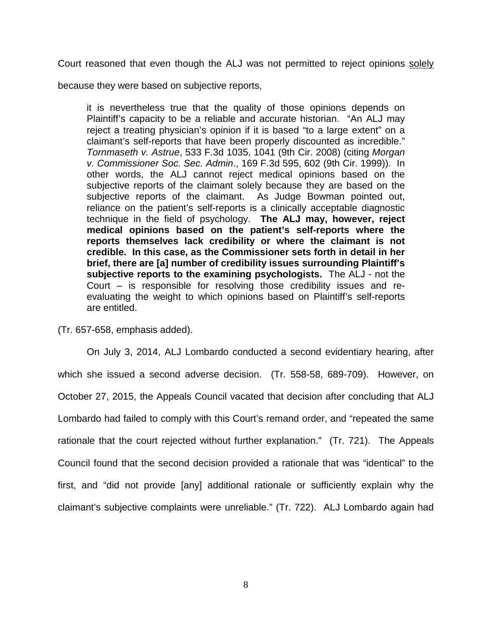Court reasoned that even though the ALJ was not permitted to reject opinions solely

because they were based on subjective reports,

it is nevertheless true that the quality of those opinions depends on Plaintiff's capacity to be a reliable and accurate historian. "An ALJ may reject a treating physician's opinion if it is based "to a large extent" on a claimant's self-reports that have been properly discounted as incredible." Tornmaseth v. Astrue, 533 F.3d 1035, 1041 (9th Cir. 2008) (citing Morgan v. Commissioner Soc. Sec. Admin., 169 F.3d 595, 602 (9th Cir. 1999)). In other words, the ALJ cannot reject medical opinions based on the subjective reports of the claimant solely because they are based on the subjective reports of the claimant. As Judge Bowman pointed out, reliance on the patient's self-reports is a clinically acceptable diagnostic technique in the field of psychology. **The ALJ may, however, reject medical opinions based on the patient's self-reports where the reports themselves lack credibility or where the claimant is not credible. In this case, as the Commissioner sets forth in detail in her brief, there are [a] number of credibility issues surrounding Plaintiff's subjective reports to the examining psychologists.** The ALJ - not the Court – is responsible for resolving those credibility issues and reevaluating the weight to which opinions based on Plaintiff's self-reports are entitled.

(Tr. 657-658, emphasis added).

 On July 3, 2014, ALJ Lombardo conducted a second evidentiary hearing, after which she issued a second adverse decision. (Tr. 558-58, 689-709). However, on October 27, 2015, the Appeals Council vacated that decision after concluding that ALJ Lombardo had failed to comply with this Court's remand order, and "repeated the same rationale that the court rejected without further explanation." (Tr. 721). The Appeals Council found that the second decision provided a rationale that was "identical" to the first, and "did not provide [any] additional rationale or sufficiently explain why the claimant's subjective complaints were unreliable." (Tr. 722). ALJ Lombardo again had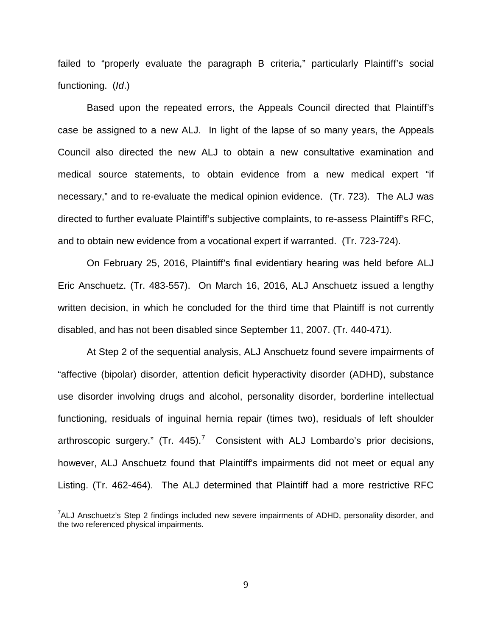failed to "properly evaluate the paragraph B criteria," particularly Plaintiff's social functioning. (Id.)

Based upon the repeated errors, the Appeals Council directed that Plaintiff's case be assigned to a new ALJ. In light of the lapse of so many years, the Appeals Council also directed the new ALJ to obtain a new consultative examination and medical source statements, to obtain evidence from a new medical expert "if necessary," and to re-evaluate the medical opinion evidence. (Tr. 723). The ALJ was directed to further evaluate Plaintiff's subjective complaints, to re-assess Plaintiff's RFC, and to obtain new evidence from a vocational expert if warranted. (Tr. 723-724).

On February 25, 2016, Plaintiff's final evidentiary hearing was held before ALJ Eric Anschuetz. (Tr. 483-557). On March 16, 2016, ALJ Anschuetz issued a lengthy written decision, in which he concluded for the third time that Plaintiff is not currently disabled, and has not been disabled since September 11, 2007. (Tr. 440-471).

At Step 2 of the sequential analysis, ALJ Anschuetz found severe impairments of "affective (bipolar) disorder, attention deficit hyperactivity disorder (ADHD), substance use disorder involving drugs and alcohol, personality disorder, borderline intellectual functioning, residuals of inguinal hernia repair (times two), residuals of left shoulder arthroscopic surgery." (Tr. 445).<sup>[7](#page-8-0)</sup> Consistent with ALJ Lombardo's prior decisions, however, ALJ Anschuetz found that Plaintiff's impairments did not meet or equal any Listing. (Tr. 462-464). The ALJ determined that Plaintiff had a more restrictive RFC

 $\overline{a}$ 

<span id="page-8-0"></span> $7$ ALJ Anschuetz's Step 2 findings included new severe impairments of ADHD, personality disorder, and the two referenced physical impairments.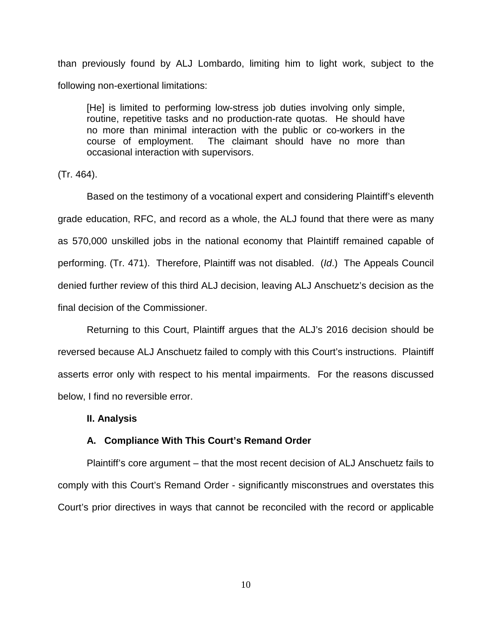than previously found by ALJ Lombardo, limiting him to light work, subject to the following non-exertional limitations:

[He] is limited to performing low-stress job duties involving only simple, routine, repetitive tasks and no production-rate quotas. He should have no more than minimal interaction with the public or co-workers in the course of employment. The claimant should have no more than occasional interaction with supervisors.

(Tr. 464).

Based on the testimony of a vocational expert and considering Plaintiff's eleventh grade education, RFC, and record as a whole, the ALJ found that there were as many as 570,000 unskilled jobs in the national economy that Plaintiff remained capable of performing. (Tr. 471). Therefore, Plaintiff was not disabled. (Id.) The Appeals Council denied further review of this third ALJ decision, leaving ALJ Anschuetz's decision as the final decision of the Commissioner.

Returning to this Court, Plaintiff argues that the ALJ's 2016 decision should be reversed because ALJ Anschuetz failed to comply with this Court's instructions. Plaintiff asserts error only with respect to his mental impairments. For the reasons discussed below, I find no reversible error.

#### **II. Analysis**

### **A. Compliance With This Court's Remand Order**

Plaintiff's core argument – that the most recent decision of ALJ Anschuetz fails to comply with this Court's Remand Order - significantly misconstrues and overstates this Court's prior directives in ways that cannot be reconciled with the record or applicable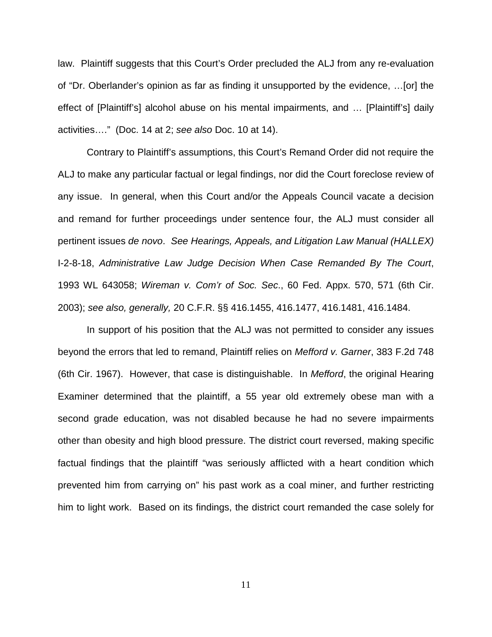law. Plaintiff suggests that this Court's Order precluded the ALJ from any re-evaluation of "Dr. Oberlander's opinion as far as finding it unsupported by the evidence, …[or] the effect of [Plaintiff's] alcohol abuse on his mental impairments, and … [Plaintiff's] daily activities…." (Doc. 14 at 2; see also Doc. 10 at 14).

Contrary to Plaintiff's assumptions, this Court's Remand Order did not require the ALJ to make any particular factual or legal findings, nor did the Court foreclose review of any issue. In general, when this Court and/or the Appeals Council vacate a decision and remand for further proceedings under sentence four, the ALJ must consider all pertinent issues de novo. See Hearings, Appeals, and Litigation Law Manual (HALLEX) I-2-8-18, Administrative Law Judge Decision When Case Remanded By The Court, 1993 WL 643058; Wireman v. Com'r of Soc. Sec., 60 Fed. Appx. 570, 571 (6th Cir. 2003); see also, generally, 20 C.F.R. §§ 416.1455, 416.1477, 416.1481, 416.1484.

In support of his position that the ALJ was not permitted to consider any issues beyond the errors that led to remand, Plaintiff relies on Mefford v. Garner, 383 F.2d 748 (6th Cir. 1967). However, that case is distinguishable. In Mefford, the original Hearing Examiner determined that the plaintiff, a 55 year old extremely obese man with a second grade education, was not disabled because he had no severe impairments other than obesity and high blood pressure. The district court reversed, making specific factual findings that the plaintiff "was seriously afflicted with a heart condition which prevented him from carrying on" his past work as a coal miner, and further restricting him to light work. Based on its findings, the district court remanded the case solely for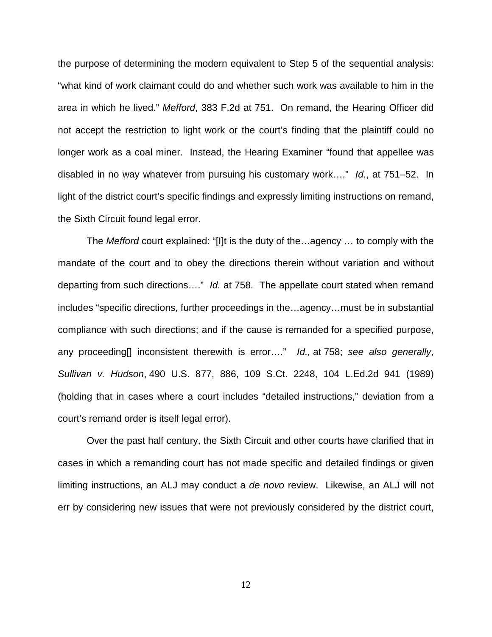the purpose of determining the modern equivalent to Step 5 of the sequential analysis: "what kind of work claimant could do and whether such work was available to him in the area in which he lived." Mefford, 383 F.2d at 751. On remand, the Hearing Officer did not accept the restriction to light work or the court's finding that the plaintiff could no longer work as a coal miner. Instead, the Hearing Examiner "found that appellee was disabled in no way whatever from pursuing his customary work...." Id., at 751–52. In light of the district court's specific findings and expressly limiting instructions on remand, the Sixth Circuit found legal error.

The Mefford court explained: "[I]t is the duty of the…agency … to comply with the mandate of the court and to obey the directions therein without variation and without departing from such directions…." Id. at 758. The appellate court stated when remand includes "specific directions, further proceedings in the…agency…must be in substantial compliance with such directions; and if the cause is remanded for a specified purpose, any proceeding[] inconsistent therewith is error...." Id., at [758;](https://1.next.westlaw.com/Link/Document/FullText?findType=Y&serNum=1967103954&pubNum=350&originatingDoc=Id863191db9a011dab6b19d807577f4c3&refType=RP&fi=co_pp_sp_350_758&originationContext=document&transitionType=DocumentItem&contextData=(sc.Keycite)#co_pp_sp_350_758) see also generally, Sullivan v. Hudson[, 490 U.S. 877, 886, 109 S.Ct. 2248, 104 L.Ed.2d 941 \(1989\)](https://1.next.westlaw.com/Link/Document/FullText?findType=Y&serNum=1989086478&pubNum=708&originatingDoc=Id863191db9a011dab6b19d807577f4c3&refType=RP&originationContext=document&transitionType=DocumentItem&contextData=(sc.Keycite)) (holding that in cases where a court includes "detailed instructions," deviation from a court's remand order is itself legal error).

Over the past half century, the Sixth Circuit and other courts have clarified that in cases in which a remanding court has not made specific and detailed findings or given limiting instructions, an ALJ may conduct a de novo review. Likewise, an ALJ will not err by considering new issues that were not previously considered by the district court,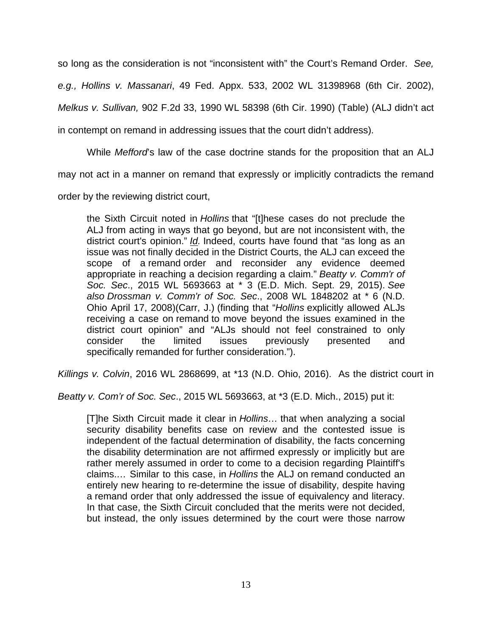so long as the consideration is not "inconsistent with" the Court's Remand Order. See,

e.g., Hollins v. Massanari, 49 Fed. Appx. 533, 2002 WL 31398968 (6th Cir. 2002),

Melkus v. Sullivan, 902 F.2d 33, 1990 WL 58398 (6th Cir. 1990) (Table) (ALJ didn't act

in contempt on remand in addressing issues that the court didn't address).

While Mefford's law of the case doctrine stands for the proposition that an ALJ

may not act in a manner on remand that expressly or implicitly contradicts the remand

order by the reviewing district court,

the Sixth Circuit noted in Hollins that "[t]hese cases do not preclude the ALJ from acting in ways that go beyond, but are not inconsistent with, the district court's opinion."  $Id$ . Indeed, courts have found that "as long as an issue was not finally decided in the District Courts, the ALJ can exceed the scope of a remand order and reconsider any evidence deemed appropriate in reaching a decision regarding a claim." Beatty v. Comm'r of Soc. Sec., 2015 WL 5693663 at \* 3 (E.D. Mich. Sept. 29, 2015). See also Drossman v. Comm'r of Soc. Sec., 2008 WL 1848202 at \* 6 (N.D. Ohio April 17, 2008)(Carr, J.) (finding that "Hollins explicitly allowed ALJs receiving a case on remand to move beyond the issues examined in the district court opinion" and "ALJs should not feel constrained to only consider the limited issues previously presented and specifically remanded for further consideration.").

Killings v. Colvin, 2016 WL 2868699, at \*13 (N.D. Ohio, 2016). As the district court in

Beatty v. Com'r of Soc. Sec., 2015 WL 5693663, at \*3 (E.D. Mich., 2015) put it:

[T]he Sixth Circuit made it clear in Hollins… that when analyzing a social security disability benefits case on review and the contested issue is independent of the factual determination of disability, the facts concerning the disability determination are not affirmed expressly or implicitly but are rather merely assumed in order to come to a decision regarding Plaintiff's claims.… Similar to this case, in Hollins the ALJ on remand conducted an entirely new hearing to re-determine the issue of disability, despite having a remand order that only addressed the issue of equivalency and literacy. In that case, the Sixth Circuit concluded that the merits were not decided, but instead, the only issues determined by the court were those narrow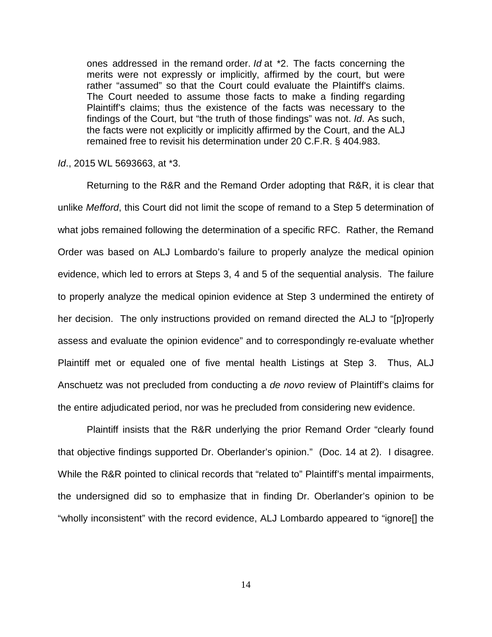ones addressed in the remand order. Id at \*2. The facts concerning the merits were not expressly or implicitly, affirmed by the court, but were rather "assumed" so that the Court could evaluate the Plaintiff's claims. The Court needed to assume those facts to make a finding regarding Plaintiff's claims; thus the existence of the facts was necessary to the findings of the Court, but "the truth of those findings" was not. Id. As such, the facts were not explicitly or implicitly affirmed by the Court, and the ALJ remained free to revisit his determination under 20 C.F.R. § 404.983.

### Id., 2015 WL 5693663, at \*3.

Returning to the R&R and the Remand Order adopting that R&R, it is clear that unlike Mefford, this Court did not limit the scope of remand to a Step 5 determination of what jobs remained following the determination of a specific RFC. Rather, the Remand Order was based on ALJ Lombardo's failure to properly analyze the medical opinion evidence, which led to errors at Steps 3, 4 and 5 of the sequential analysis. The failure to properly analyze the medical opinion evidence at Step 3 undermined the entirety of her decision. The only instructions provided on remand directed the ALJ to "[p]roperly assess and evaluate the opinion evidence" and to correspondingly re-evaluate whether Plaintiff met or equaled one of five mental health Listings at Step 3. Thus, ALJ Anschuetz was not precluded from conducting a de novo review of Plaintiff's claims for the entire adjudicated period, nor was he precluded from considering new evidence.

Plaintiff insists that the R&R underlying the prior Remand Order "clearly found that objective findings supported Dr. Oberlander's opinion." (Doc. 14 at 2). I disagree. While the R&R pointed to clinical records that "related to" Plaintiff's mental impairments, the undersigned did so to emphasize that in finding Dr. Oberlander's opinion to be "wholly inconsistent" with the record evidence, ALJ Lombardo appeared to "ignore[] the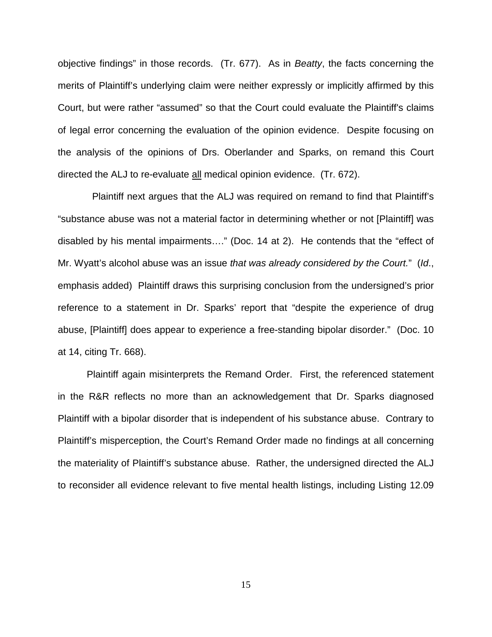objective findings" in those records. (Tr. 677). As in Beatty, the facts concerning the merits of Plaintiff's underlying claim were neither expressly or implicitly affirmed by this Court, but were rather "assumed" so that the Court could evaluate the Plaintiff's claims of legal error concerning the evaluation of the opinion evidence. Despite focusing on the analysis of the opinions of Drs. Oberlander and Sparks, on remand this Court directed the ALJ to re-evaluate all medical opinion evidence. (Tr. 672).

 Plaintiff next argues that the ALJ was required on remand to find that Plaintiff's "substance abuse was not a material factor in determining whether or not [Plaintiff] was disabled by his mental impairments…." (Doc. 14 at 2). He contends that the "effect of Mr. Wyatt's alcohol abuse was an issue that was already considered by the Court." (Id., emphasis added) Plaintiff draws this surprising conclusion from the undersigned's prior reference to a statement in Dr. Sparks' report that "despite the experience of drug abuse, [Plaintiff] does appear to experience a free-standing bipolar disorder." (Doc. 10 at 14, citing Tr. 668).

Plaintiff again misinterprets the Remand Order. First, the referenced statement in the R&R reflects no more than an acknowledgement that Dr. Sparks diagnosed Plaintiff with a bipolar disorder that is independent of his substance abuse. Contrary to Plaintiff's misperception, the Court's Remand Order made no findings at all concerning the materiality of Plaintiff's substance abuse. Rather, the undersigned directed the ALJ to reconsider all evidence relevant to five mental health listings, including Listing 12.09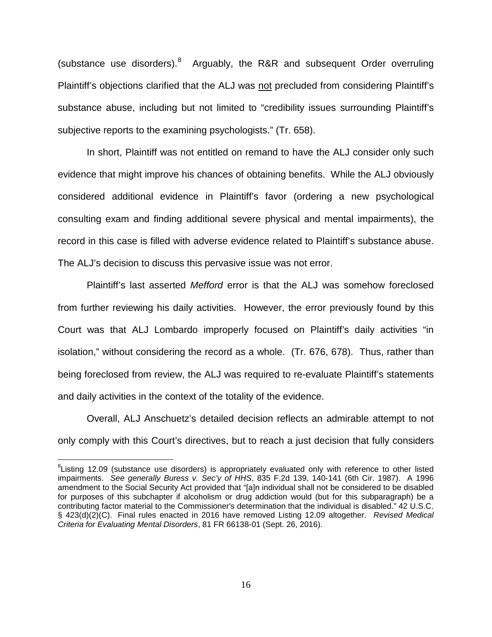(substance use disorders). <sup>[8](#page-15-0)</sup> Arguably, the R&R and subsequent Order overruling Plaintiff's objections clarified that the ALJ was not precluded from considering Plaintiff's substance abuse, including but not limited to "credibility issues surrounding Plaintiff's subjective reports to the examining psychologists." (Tr. 658).

In short, Plaintiff was not entitled on remand to have the ALJ consider only such evidence that might improve his chances of obtaining benefits. While the ALJ obviously considered additional evidence in Plaintiff's favor (ordering a new psychological consulting exam and finding additional severe physical and mental impairments), the record in this case is filled with adverse evidence related to Plaintiff's substance abuse. The ALJ's decision to discuss this pervasive issue was not error.

Plaintiff's last asserted Mefford error is that the ALJ was somehow foreclosed from further reviewing his daily activities. However, the error previously found by this Court was that ALJ Lombardo improperly focused on Plaintiff's daily activities "in isolation," without considering the record as a whole. (Tr. 676, 678). Thus, rather than being foreclosed from review, the ALJ was required to re-evaluate Plaintiff's statements and daily activities in the context of the totality of the evidence.

Overall, ALJ Anschuetz's detailed decision reflects an admirable attempt to not only comply with this Court's directives, but to reach a just decision that fully considers

 $\overline{a}$ 

<span id="page-15-0"></span> ${}^{8}$ Listing 12.09 (substance use disorders) is appropriately evaluated only with reference to other listed impairments. See generally Buress v. Sec'y of HHS, 835 F.2d 139, 140-141 (6th Cir. 1987). A 1996 amendment to the Social Security Act provided that "[a]n individual shall not be considered to be disabled for purposes of this subchapter if alcoholism or drug addiction would (but for this subparagraph) be a contributing factor material to the Commissioner's determination that the individual is disabled." [42 U.S.C.](https://1.next.westlaw.com/Link/Document/FullText?findType=L&pubNum=1000546&cite=42USCAS423&originatingDoc=I78c8fe49542d11d9bf30d7fdf51b6bd4&refType=RB&originationContext=document&transitionType=DocumentItem&contextData=(sc.Search)#co_pp_b8c0000081ca6)  [§ 423\(d\)\(2\)\(C\).](https://1.next.westlaw.com/Link/Document/FullText?findType=L&pubNum=1000546&cite=42USCAS423&originatingDoc=I78c8fe49542d11d9bf30d7fdf51b6bd4&refType=RB&originationContext=document&transitionType=DocumentItem&contextData=(sc.Search)#co_pp_b8c0000081ca6) Final rules enacted in 2016 have removed Listing 12.09 altogether. Revised Medical Criteria for Evaluating Mental Disorders, 81 FR 66138-01 (Sept. 26, 2016).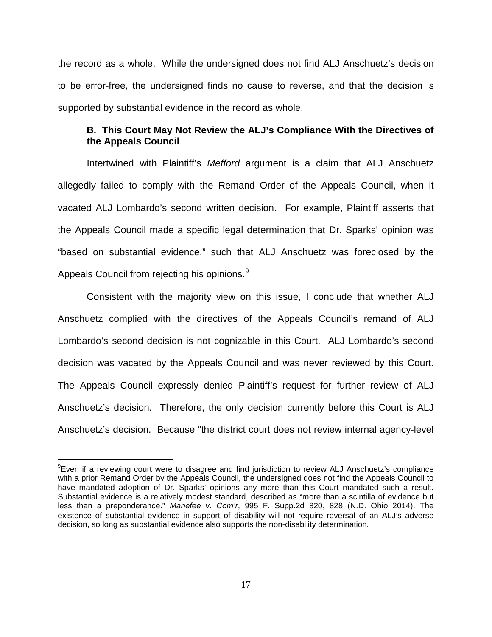the record as a whole. While the undersigned does not find ALJ Anschuetz's decision to be error-free, the undersigned finds no cause to reverse, and that the decision is supported by substantial evidence in the record as whole.

## **B. This Court May Not Review the ALJ's Compliance With the Directives of the Appeals Council**

Intertwined with Plaintiff's Mefford argument is a claim that ALJ Anschuetz allegedly failed to comply with the Remand Order of the Appeals Council, when it vacated ALJ Lombardo's second written decision. For example, Plaintiff asserts that the Appeals Council made a specific legal determination that Dr. Sparks' opinion was "based on substantial evidence," such that ALJ Anschuetz was foreclosed by the Appeals Council from rejecting his opinions.<sup>[9](#page-16-0)</sup>

Consistent with the majority view on this issue, I conclude that whether ALJ Anschuetz complied with the directives of the Appeals Council's remand of ALJ Lombardo's second decision is not cognizable in this Court. ALJ Lombardo's second decision was vacated by the Appeals Council and was never reviewed by this Court. The Appeals Council expressly denied Plaintiff's request for further review of ALJ Anschuetz's decision. Therefore, the only decision currently before this Court is ALJ Anschuetz's decision. Because "the district court does not review internal agency-level

 $\overline{a}$ 

<span id="page-16-0"></span><sup>&</sup>lt;sup>9</sup>Even if a reviewing court were to disagree and find jurisdiction to review ALJ Anschuetz's compliance with a prior Remand Order by the Appeals Council, the undersigned does not find the Appeals Council to have mandated adoption of Dr. Sparks' opinions any more than this Court mandated such a result. Substantial evidence is a relatively modest standard, described as "more than a scintilla of evidence but less than a preponderance." Manefee v. Com'r, 995 F. Supp.2d 820, 828 (N.D. Ohio 2014). The existence of substantial evidence in support of disability will not require reversal of an ALJ's adverse decision, so long as substantial evidence also supports the non-disability determination.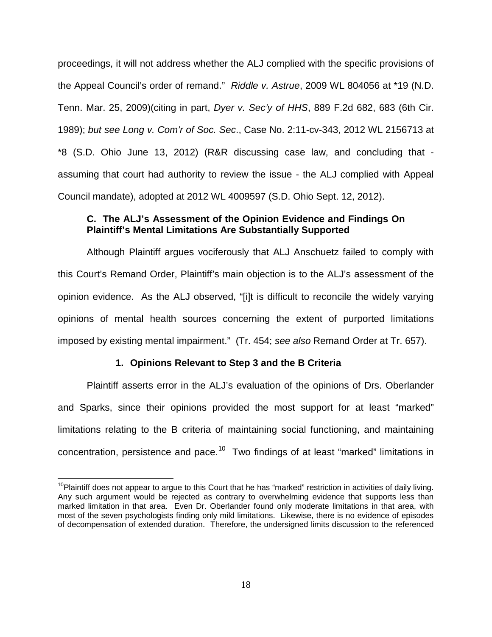proceedings, it will not address whether the ALJ complied with the specific provisions of the Appeal Council's order of remand." Riddle v. Astrue, 2009 WL 804056 at \*19 (N.D. Tenn. Mar. 25, 2009)(citing in part, Dyer v. Sec'y of HHS, 889 F.2d 682, 683 (6th Cir. 1989); but see Long v. Com'r of Soc. Sec., Case No. 2:11-cv-343, 2012 WL 2156713 at \*8 (S.D. Ohio June 13, 2012) (R&R discussing case law, and concluding that assuming that court had authority to review the issue - the ALJ complied with Appeal Council mandate), adopted at 2012 WL 4009597 (S.D. Ohio Sept. 12, 2012).

# **C. The ALJ's Assessment of the Opinion Evidence and Findings On Plaintiff's Mental Limitations Are Substantially Supported**

Although Plaintiff argues vociferously that ALJ Anschuetz failed to comply with this Court's Remand Order, Plaintiff's main objection is to the ALJ's assessment of the opinion evidence. As the ALJ observed, "[i]t is difficult to reconcile the widely varying opinions of mental health sources concerning the extent of purported limitations imposed by existing mental impairment." (Tr. 454; see also Remand Order at Tr. 657).

### **1. Opinions Relevant to Step 3 and the B Criteria**

 $\overline{a}$ 

Plaintiff asserts error in the ALJ's evaluation of the opinions of Drs. Oberlander and Sparks, since their opinions provided the most support for at least "marked" limitations relating to the B criteria of maintaining social functioning, and maintaining concentration, persistence and pace.<sup>[10](#page-17-0)</sup> Two findings of at least "marked" limitations in

<span id="page-17-0"></span> $10$ Plaintiff does not appear to argue to this Court that he has "marked" restriction in activities of daily living. Any such argument would be rejected as contrary to overwhelming evidence that supports less than marked limitation in that area. Even Dr. Oberlander found only moderate limitations in that area, with most of the seven psychologists finding only mild limitations. Likewise, there is no evidence of episodes of decompensation of extended duration. Therefore, the undersigned limits discussion to the referenced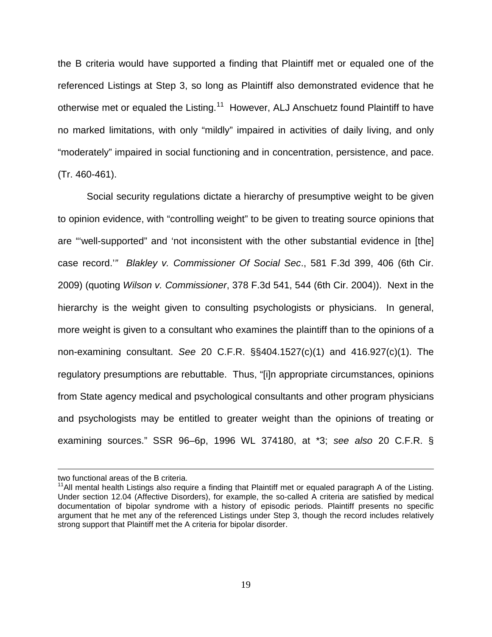the B criteria would have supported a finding that Plaintiff met or equaled one of the referenced Listings at Step 3, so long as Plaintiff also demonstrated evidence that he otherwise met or equaled the Listing.<sup>[11](#page-18-0)</sup> However, ALJ Anschuetz found Plaintiff to have no marked limitations, with only "mildly" impaired in activities of daily living, and only "moderately" impaired in social functioning and in concentration, persistence, and pace. (Tr. 460-461).

Social security regulations dictate a hierarchy of presumptive weight to be given to opinion evidence, with "controlling weight" to be given to treating source opinions that are "'well-supported" and 'not inconsistent with the other substantial evidence in [the] case record.'" Blakley v. Commissioner Of Social Sec., 581 F.3d 399, 406 (6th Cir. 2009) (quoting Wilson v. Commissioner, 378 F.3d 541, 544 (6th Cir. 2004)). Next in the hierarchy is the weight given to consulting psychologists or physicians. In general, more weight is given to a consultant who examines the plaintiff than to the opinions of a non-examining consultant. See 20 C.F.R. §§404.1527(c)(1) and 416.927(c)(1). The regulatory presumptions are rebuttable. Thus, "[i]n appropriate circumstances, opinions from State agency medical and psychological consultants and other program physicians and psychologists may be entitled to greater weight than the opinions of treating or examining sources." SSR 96–6p, 1996 WL 374180, at \*3; see also 20 C.F.R. §

 $\overline{a}$ 

two functional areas of the B criteria.

<span id="page-18-0"></span> $11$ All mental health Listings also require a finding that Plaintiff met or equaled paragraph A of the Listing. Under section 12.04 (Affective Disorders), for example, the so-called A criteria are satisfied by medical documentation of bipolar syndrome with a history of episodic periods. Plaintiff presents no specific argument that he met any of the referenced Listings under Step 3, though the record includes relatively strong support that Plaintiff met the A criteria for bipolar disorder.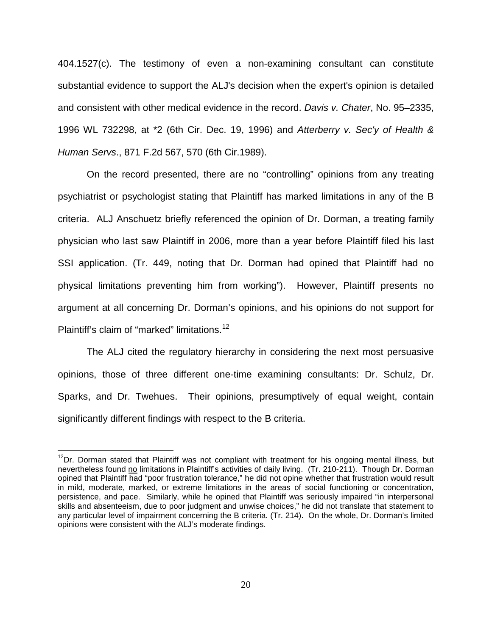404.1527(c). The testimony of even a non-examining consultant can constitute substantial evidence to support the ALJ's decision when the expert's opinion is detailed and consistent with other medical evidence in the record. Davis v. Chater, No. 95–2335, 1996 WL 732298, at \*2 (6th Cir. Dec. 19, 1996) and Atterberry v. Sec'y of Health & Human Servs., 871 F.2d 567, 570 (6th Cir.1989).

On the record presented, there are no "controlling" opinions from any treating psychiatrist or psychologist stating that Plaintiff has marked limitations in any of the B criteria. ALJ Anschuetz briefly referenced the opinion of Dr. Dorman, a treating family physician who last saw Plaintiff in 2006, more than a year before Plaintiff filed his last SSI application. (Tr. 449, noting that Dr. Dorman had opined that Plaintiff had no physical limitations preventing him from working"). However, Plaintiff presents no argument at all concerning Dr. Dorman's opinions, and his opinions do not support for Plaintiff's claim of "marked" limitations.<sup>[12](#page-19-0)</sup>

The ALJ cited the regulatory hierarchy in considering the next most persuasive opinions, those of three different one-time examining consultants: Dr. Schulz, Dr. Sparks, and Dr. Twehues. Their opinions, presumptively of equal weight, contain significantly different findings with respect to the B criteria.

 $\overline{\phantom{a}}$ 

<span id="page-19-0"></span><sup>&</sup>lt;sup>12</sup>Dr. Dorman stated that Plaintiff was not compliant with treatment for his ongoing mental illness, but nevertheless found no limitations in Plaintiff's activities of daily living. (Tr. 210-211). Though Dr. Dorman opined that Plaintiff had "poor frustration tolerance," he did not opine whether that frustration would result in mild, moderate, marked, or extreme limitations in the areas of social functioning or concentration, persistence, and pace. Similarly, while he opined that Plaintiff was seriously impaired "in interpersonal skills and absenteeism, due to poor judgment and unwise choices," he did not translate that statement to any particular level of impairment concerning the B criteria. (Tr. 214). On the whole, Dr. Dorman's limited opinions were consistent with the ALJ's moderate findings.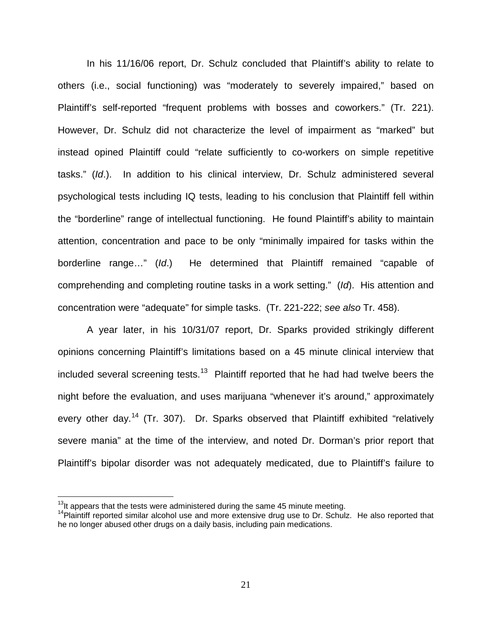In his 11/16/06 report, Dr. Schulz concluded that Plaintiff's ability to relate to others (i.e., social functioning) was "moderately to severely impaired," based on Plaintiff's self-reported "frequent problems with bosses and coworkers." (Tr. 221). However, Dr. Schulz did not characterize the level of impairment as "marked" but instead opined Plaintiff could "relate sufficiently to co-workers on simple repetitive tasks." (Id.). In addition to his clinical interview, Dr. Schulz administered several psychological tests including IQ tests, leading to his conclusion that Plaintiff fell within the "borderline" range of intellectual functioning. He found Plaintiff's ability to maintain attention, concentration and pace to be only "minimally impaired for tasks within the borderline range…" (Id.) He determined that Plaintiff remained "capable of comprehending and completing routine tasks in a work setting." (Id). His attention and concentration were "adequate" for simple tasks. (Tr. 221-222; see also Tr. 458).

A year later, in his 10/31/07 report, Dr. Sparks provided strikingly different opinions concerning Plaintiff's limitations based on a 45 minute clinical interview that included several screening tests.<sup>[13](#page-20-0)</sup> Plaintiff reported that he had had twelve beers the night before the evaluation, and uses marijuana "whenever it's around," approximately every other day.<sup>[14](#page-20-1)</sup> (Tr. 307). Dr. Sparks observed that Plaintiff exhibited "relatively severe mania" at the time of the interview, and noted Dr. Dorman's prior report that Plaintiff's bipolar disorder was not adequately medicated, due to Plaintiff's failure to

 $\overline{a}$ 

<span id="page-20-0"></span> $13$ It appears that the tests were administered during the same 45 minute meeting.

<span id="page-20-1"></span> $14P$ laintiff reported similar alcohol use and more extensive drug use to Dr. Schulz. He also reported that he no longer abused other drugs on a daily basis, including pain medications.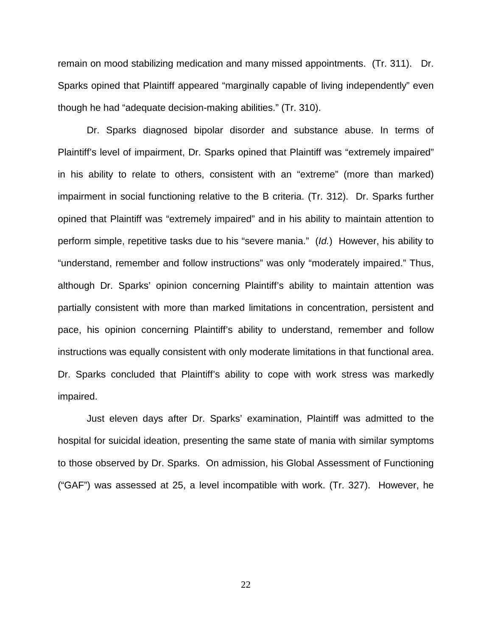remain on mood stabilizing medication and many missed appointments. (Tr. 311). Dr. Sparks opined that Plaintiff appeared "marginally capable of living independently" even though he had "adequate decision-making abilities." (Tr. 310).

Dr. Sparks diagnosed bipolar disorder and substance abuse. In terms of Plaintiff's level of impairment, Dr. Sparks opined that Plaintiff was "extremely impaired" in his ability to relate to others, consistent with an "extreme" (more than marked) impairment in social functioning relative to the B criteria. (Tr. 312). Dr. Sparks further opined that Plaintiff was "extremely impaired" and in his ability to maintain attention to perform simple, repetitive tasks due to his "severe mania." (Id.) However, his ability to "understand, remember and follow instructions" was only "moderately impaired." Thus, although Dr. Sparks' opinion concerning Plaintiff's ability to maintain attention was partially consistent with more than marked limitations in concentration, persistent and pace, his opinion concerning Plaintiff's ability to understand, remember and follow instructions was equally consistent with only moderate limitations in that functional area. Dr. Sparks concluded that Plaintiff's ability to cope with work stress was markedly impaired.

Just eleven days after Dr. Sparks' examination, Plaintiff was admitted to the hospital for suicidal ideation, presenting the same state of mania with similar symptoms to those observed by Dr. Sparks. On admission, his Global Assessment of Functioning ("GAF") was assessed at 25, a level incompatible with work. (Tr. 327). However, he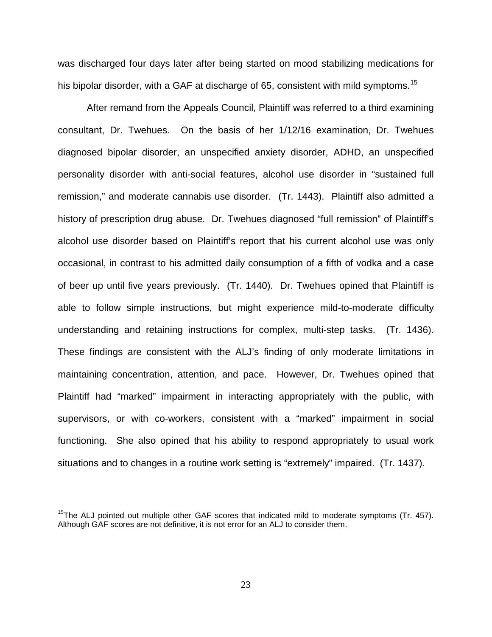was discharged four days later after being started on mood stabilizing medications for his bipolar disorder, with a GAF at discharge of 65, consistent with mild symptoms.<sup>[15](#page-22-0)</sup>

After remand from the Appeals Council, Plaintiff was referred to a third examining consultant, Dr. Twehues. On the basis of her 1/12/16 examination, Dr. Twehues diagnosed bipolar disorder, an unspecified anxiety disorder, ADHD, an unspecified personality disorder with anti-social features, alcohol use disorder in "sustained full remission," and moderate cannabis use disorder. (Tr. 1443). Plaintiff also admitted a history of prescription drug abuse. Dr. Twehues diagnosed "full remission" of Plaintiff's alcohol use disorder based on Plaintiff's report that his current alcohol use was only occasional, in contrast to his admitted daily consumption of a fifth of vodka and a case of beer up until five years previously. (Tr. 1440). Dr. Twehues opined that Plaintiff is able to follow simple instructions, but might experience mild-to-moderate difficulty understanding and retaining instructions for complex, multi-step tasks. (Tr. 1436). These findings are consistent with the ALJ's finding of only moderate limitations in maintaining concentration, attention, and pace. However, Dr. Twehues opined that Plaintiff had "marked" impairment in interacting appropriately with the public, with supervisors, or with co-workers, consistent with a "marked" impairment in social functioning. She also opined that his ability to respond appropriately to usual work situations and to changes in a routine work setting is "extremely" impaired. (Tr. 1437).

 $\overline{\phantom{a}}$ 

<span id="page-22-0"></span> $15$ The ALJ pointed out multiple other GAF scores that indicated mild to moderate symptoms (Tr. 457). Although GAF scores are not definitive, it is not error for an ALJ to consider them.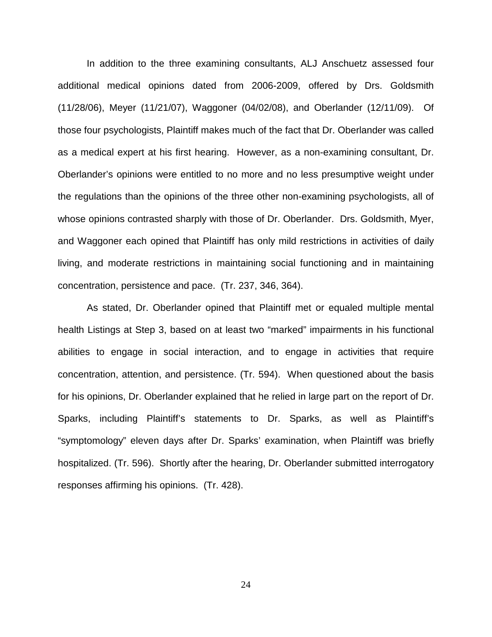In addition to the three examining consultants, ALJ Anschuetz assessed four additional medical opinions dated from 2006-2009, offered by Drs. Goldsmith (11/28/06), Meyer (11/21/07), Waggoner (04/02/08), and Oberlander (12/11/09). Of those four psychologists, Plaintiff makes much of the fact that Dr. Oberlander was called as a medical expert at his first hearing. However, as a non-examining consultant, Dr. Oberlander's opinions were entitled to no more and no less presumptive weight under the regulations than the opinions of the three other non-examining psychologists, all of whose opinions contrasted sharply with those of Dr. Oberlander. Drs. Goldsmith, Myer, and Waggoner each opined that Plaintiff has only mild restrictions in activities of daily living, and moderate restrictions in maintaining social functioning and in maintaining concentration, persistence and pace. (Tr. 237, 346, 364).

As stated, Dr. Oberlander opined that Plaintiff met or equaled multiple mental health Listings at Step 3, based on at least two "marked" impairments in his functional abilities to engage in social interaction, and to engage in activities that require concentration, attention, and persistence. (Tr. 594). When questioned about the basis for his opinions, Dr. Oberlander explained that he relied in large part on the report of Dr. Sparks, including Plaintiff's statements to Dr. Sparks, as well as Plaintiff's "symptomology" eleven days after Dr. Sparks' examination, when Plaintiff was briefly hospitalized. (Tr. 596). Shortly after the hearing, Dr. Oberlander submitted interrogatory responses affirming his opinions. (Tr. 428).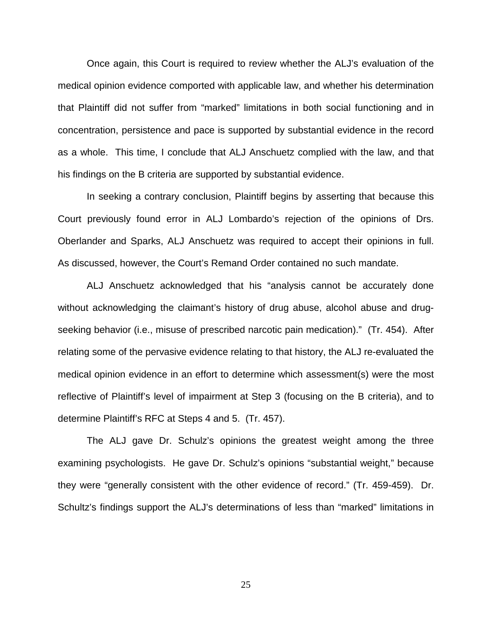Once again, this Court is required to review whether the ALJ's evaluation of the medical opinion evidence comported with applicable law, and whether his determination that Plaintiff did not suffer from "marked" limitations in both social functioning and in concentration, persistence and pace is supported by substantial evidence in the record as a whole. This time, I conclude that ALJ Anschuetz complied with the law, and that his findings on the B criteria are supported by substantial evidence.

In seeking a contrary conclusion, Plaintiff begins by asserting that because this Court previously found error in ALJ Lombardo's rejection of the opinions of Drs. Oberlander and Sparks, ALJ Anschuetz was required to accept their opinions in full. As discussed, however, the Court's Remand Order contained no such mandate.

ALJ Anschuetz acknowledged that his "analysis cannot be accurately done without acknowledging the claimant's history of drug abuse, alcohol abuse and drugseeking behavior (i.e., misuse of prescribed narcotic pain medication)." (Tr. 454). After relating some of the pervasive evidence relating to that history, the ALJ re-evaluated the medical opinion evidence in an effort to determine which assessment(s) were the most reflective of Plaintiff's level of impairment at Step 3 (focusing on the B criteria), and to determine Plaintiff's RFC at Steps 4 and 5. (Tr. 457).

The ALJ gave Dr. Schulz's opinions the greatest weight among the three examining psychologists. He gave Dr. Schulz's opinions "substantial weight," because they were "generally consistent with the other evidence of record." (Tr. 459-459). Dr. Schultz's findings support the ALJ's determinations of less than "marked" limitations in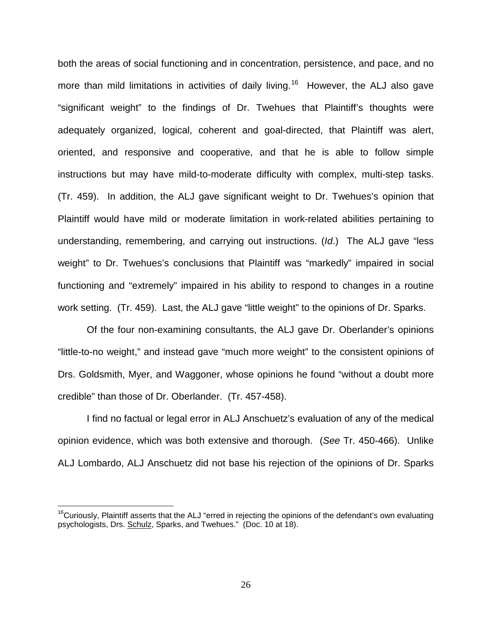both the areas of social functioning and in concentration, persistence, and pace, and no more than mild limitations in activities of daily living.<sup>[16](#page-25-0)</sup> However, the ALJ also gave "significant weight" to the findings of Dr. Twehues that Plaintiff's thoughts were adequately organized, logical, coherent and goal-directed, that Plaintiff was alert, oriented, and responsive and cooperative, and that he is able to follow simple instructions but may have mild-to-moderate difficulty with complex, multi-step tasks. (Tr. 459). In addition, the ALJ gave significant weight to Dr. Twehues's opinion that Plaintiff would have mild or moderate limitation in work-related abilities pertaining to understanding, remembering, and carrying out instructions. (Id.) The ALJ gave "less weight" to Dr. Twehues's conclusions that Plaintiff was "markedly" impaired in social functioning and "extremely" impaired in his ability to respond to changes in a routine work setting. (Tr. 459). Last, the ALJ gave "little weight" to the opinions of Dr. Sparks.

Of the four non-examining consultants, the ALJ gave Dr. Oberlander's opinions "little-to-no weight," and instead gave "much more weight" to the consistent opinions of Drs. Goldsmith, Myer, and Waggoner, whose opinions he found "without a doubt more credible" than those of Dr. Oberlander. (Tr. 457-458).

I find no factual or legal error in ALJ Anschuetz's evaluation of any of the medical opinion evidence, which was both extensive and thorough. (See Tr. 450-466). Unlike ALJ Lombardo, ALJ Anschuetz did not base his rejection of the opinions of Dr. Sparks

 $\overline{\phantom{a}}$ 

<span id="page-25-0"></span> $16$ Curiously, Plaintiff asserts that the ALJ "erred in rejecting the opinions of the defendant's own evaluating psychologists, Drs. Schulz, Sparks, and Twehues." (Doc. 10 at 18).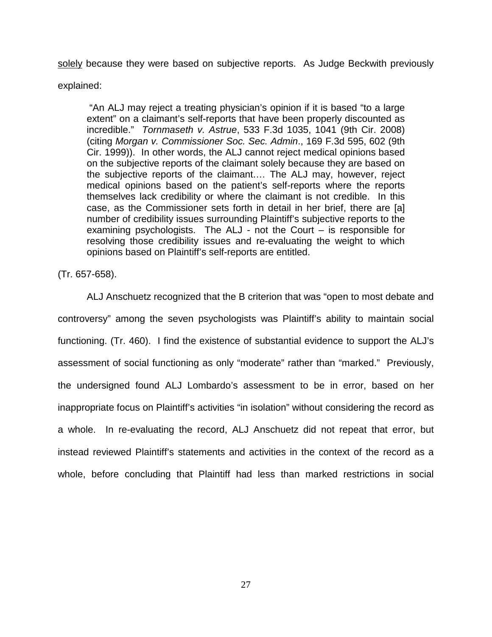solely because they were based on subjective reports. As Judge Beckwith previously

explained:

"An ALJ may reject a treating physician's opinion if it is based "to a large extent" on a claimant's self-reports that have been properly discounted as incredible." Tornmaseth v. Astrue, 533 F.3d 1035, 1041 (9th Cir. 2008) (citing Morgan v. Commissioner Soc. Sec. Admin., 169 F.3d 595, 602 (9th Cir. 1999)). In other words, the ALJ cannot reject medical opinions based on the subjective reports of the claimant solely because they are based on the subjective reports of the claimant.… The ALJ may, however, reject medical opinions based on the patient's self-reports where the reports themselves lack credibility or where the claimant is not credible. In this case, as the Commissioner sets forth in detail in her brief, there are [a] number of credibility issues surrounding Plaintiff's subjective reports to the examining psychologists. The ALJ - not the Court – is responsible for resolving those credibility issues and re-evaluating the weight to which opinions based on Plaintiff's self-reports are entitled.

(Tr. 657-658).

ALJ Anschuetz recognized that the B criterion that was "open to most debate and controversy" among the seven psychologists was Plaintiff's ability to maintain social functioning. (Tr. 460). I find the existence of substantial evidence to support the ALJ's assessment of social functioning as only "moderate" rather than "marked." Previously, the undersigned found ALJ Lombardo's assessment to be in error, based on her inappropriate focus on Plaintiff's activities "in isolation" without considering the record as a whole. In re-evaluating the record, ALJ Anschuetz did not repeat that error, but instead reviewed Plaintiff's statements and activities in the context of the record as a whole, before concluding that Plaintiff had less than marked restrictions in social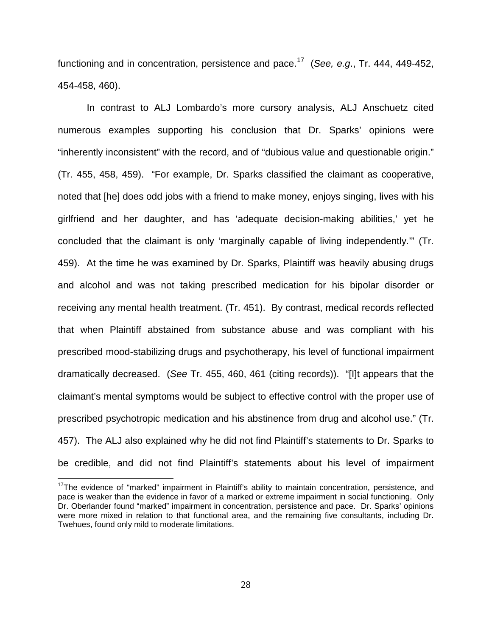functioning and in concentration, persistence and pace.<sup>[17](#page-27-0)</sup> (See, e.g., Tr. 444, 449-452, 454-458, 460).

In contrast to ALJ Lombardo's more cursory analysis, ALJ Anschuetz cited numerous examples supporting his conclusion that Dr. Sparks' opinions were "inherently inconsistent" with the record, and of "dubious value and questionable origin." (Tr. 455, 458, 459). "For example, Dr. Sparks classified the claimant as cooperative, noted that [he] does odd jobs with a friend to make money, enjoys singing, lives with his girlfriend and her daughter, and has 'adequate decision-making abilities,' yet he concluded that the claimant is only 'marginally capable of living independently.'" (Tr. 459). At the time he was examined by Dr. Sparks, Plaintiff was heavily abusing drugs and alcohol and was not taking prescribed medication for his bipolar disorder or receiving any mental health treatment. (Tr. 451). By contrast, medical records reflected that when Plaintiff abstained from substance abuse and was compliant with his prescribed mood-stabilizing drugs and psychotherapy, his level of functional impairment dramatically decreased. (See Tr. 455, 460, 461 (citing records)). "[I]t appears that the claimant's mental symptoms would be subject to effective control with the proper use of prescribed psychotropic medication and his abstinence from drug and alcohol use." (Tr. 457). The ALJ also explained why he did not find Plaintiff's statements to Dr. Sparks to be credible, and did not find Plaintiff's statements about his level of impairment

 $\overline{\phantom{a}}$ 

<span id="page-27-0"></span><sup>&</sup>lt;sup>17</sup>The evidence of "marked" impairment in Plaintiff's ability to maintain concentration, persistence, and pace is weaker than the evidence in favor of a marked or extreme impairment in social functioning. Only Dr. Oberlander found "marked" impairment in concentration, persistence and pace. Dr. Sparks' opinions were more mixed in relation to that functional area, and the remaining five consultants, including Dr. Twehues, found only mild to moderate limitations.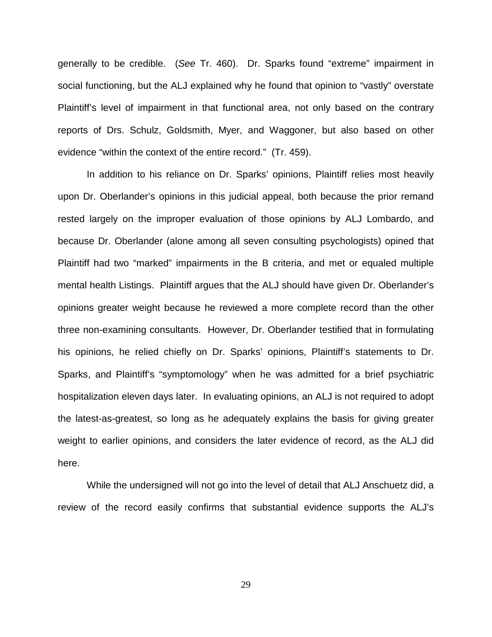generally to be credible. (See Tr. 460). Dr. Sparks found "extreme" impairment in social functioning, but the ALJ explained why he found that opinion to "vastly" overstate Plaintiff's level of impairment in that functional area, not only based on the contrary reports of Drs. Schulz, Goldsmith, Myer, and Waggoner, but also based on other evidence "within the context of the entire record." (Tr. 459).

In addition to his reliance on Dr. Sparks' opinions, Plaintiff relies most heavily upon Dr. Oberlander's opinions in this judicial appeal, both because the prior remand rested largely on the improper evaluation of those opinions by ALJ Lombardo, and because Dr. Oberlander (alone among all seven consulting psychologists) opined that Plaintiff had two "marked" impairments in the B criteria, and met or equaled multiple mental health Listings. Plaintiff argues that the ALJ should have given Dr. Oberlander's opinions greater weight because he reviewed a more complete record than the other three non-examining consultants. However, Dr. Oberlander testified that in formulating his opinions, he relied chiefly on Dr. Sparks' opinions, Plaintiff's statements to Dr. Sparks, and Plaintiff's "symptomology" when he was admitted for a brief psychiatric hospitalization eleven days later. In evaluating opinions, an ALJ is not required to adopt the latest-as-greatest, so long as he adequately explains the basis for giving greater weight to earlier opinions, and considers the later evidence of record, as the ALJ did here.

While the undersigned will not go into the level of detail that ALJ Anschuetz did, a review of the record easily confirms that substantial evidence supports the ALJ's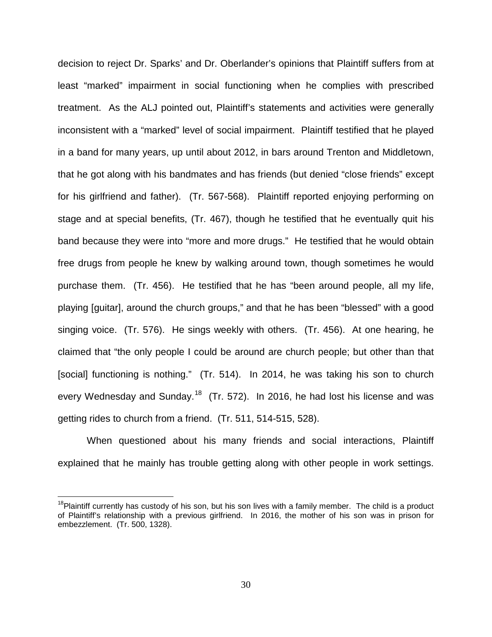decision to reject Dr. Sparks' and Dr. Oberlander's opinions that Plaintiff suffers from at least "marked" impairment in social functioning when he complies with prescribed treatment. As the ALJ pointed out, Plaintiff's statements and activities were generally inconsistent with a "marked" level of social impairment. Plaintiff testified that he played in a band for many years, up until about 2012, in bars around Trenton and Middletown, that he got along with his bandmates and has friends (but denied "close friends" except for his girlfriend and father). (Tr. 567-568). Plaintiff reported enjoying performing on stage and at special benefits, (Tr. 467), though he testified that he eventually quit his band because they were into "more and more drugs." He testified that he would obtain free drugs from people he knew by walking around town, though sometimes he would purchase them. (Tr. 456). He testified that he has "been around people, all my life, playing [guitar], around the church groups," and that he has been "blessed" with a good singing voice. (Tr. 576). He sings weekly with others. (Tr. 456). At one hearing, he claimed that "the only people I could be around are church people; but other than that [social] functioning is nothing." (Tr. 514). In 2014, he was taking his son to church every Wednesday and Sunday.<sup>[18](#page-29-0)</sup> (Tr. 572). In 2016, he had lost his license and was getting rides to church from a friend. (Tr. 511, 514-515, 528).

When questioned about his many friends and social interactions, Plaintiff explained that he mainly has trouble getting along with other people in work settings.

<u>.</u>

<span id="page-29-0"></span> $18$ Plaintiff currently has custody of his son, but his son lives with a family member. The child is a product of Plaintiff's relationship with a previous girlfriend. In 2016, the mother of his son was in prison for embezzlement. (Tr. 500, 1328).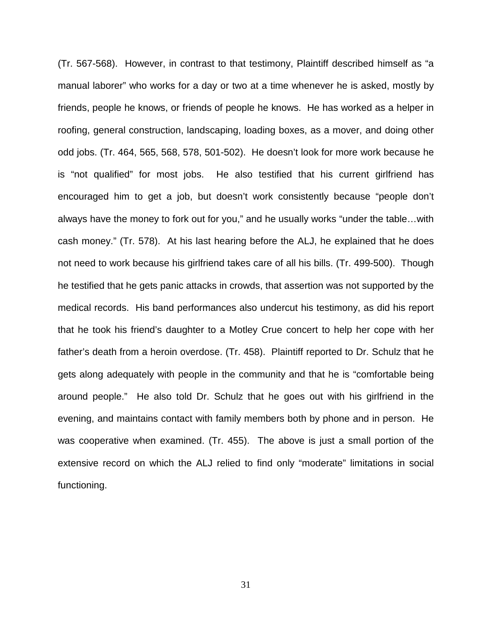(Tr. 567-568). However, in contrast to that testimony, Plaintiff described himself as "a manual laborer" who works for a day or two at a time whenever he is asked, mostly by friends, people he knows, or friends of people he knows. He has worked as a helper in roofing, general construction, landscaping, loading boxes, as a mover, and doing other odd jobs. (Tr. 464, 565, 568, 578, 501-502). He doesn't look for more work because he is "not qualified" for most jobs. He also testified that his current girlfriend has encouraged him to get a job, but doesn't work consistently because "people don't always have the money to fork out for you," and he usually works "under the table…with cash money." (Tr. 578). At his last hearing before the ALJ, he explained that he does not need to work because his girlfriend takes care of all his bills. (Tr. 499-500). Though he testified that he gets panic attacks in crowds, that assertion was not supported by the medical records. His band performances also undercut his testimony, as did his report that he took his friend's daughter to a Motley Crue concert to help her cope with her father's death from a heroin overdose. (Tr. 458). Plaintiff reported to Dr. Schulz that he gets along adequately with people in the community and that he is "comfortable being around people." He also told Dr. Schulz that he goes out with his girlfriend in the evening, and maintains contact with family members both by phone and in person. He was cooperative when examined. (Tr. 455). The above is just a small portion of the extensive record on which the ALJ relied to find only "moderate" limitations in social functioning.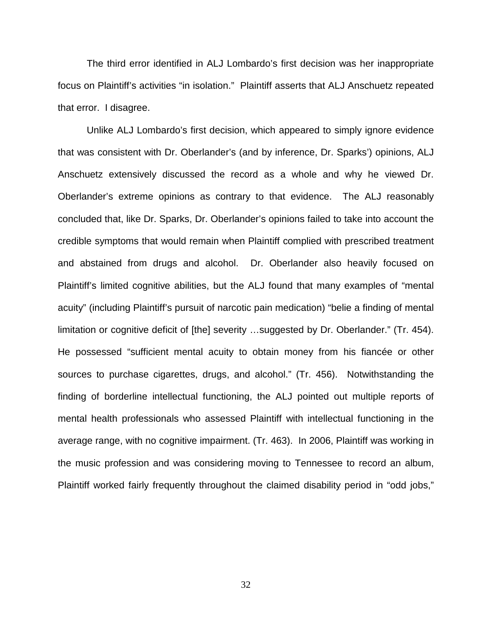The third error identified in ALJ Lombardo's first decision was her inappropriate focus on Plaintiff's activities "in isolation." Plaintiff asserts that ALJ Anschuetz repeated that error. I disagree.

Unlike ALJ Lombardo's first decision, which appeared to simply ignore evidence that was consistent with Dr. Oberlander's (and by inference, Dr. Sparks') opinions, ALJ Anschuetz extensively discussed the record as a whole and why he viewed Dr. Oberlander's extreme opinions as contrary to that evidence. The ALJ reasonably concluded that, like Dr. Sparks, Dr. Oberlander's opinions failed to take into account the credible symptoms that would remain when Plaintiff complied with prescribed treatment and abstained from drugs and alcohol. Dr. Oberlander also heavily focused on Plaintiff's limited cognitive abilities, but the ALJ found that many examples of "mental acuity" (including Plaintiff's pursuit of narcotic pain medication) "belie a finding of mental limitation or cognitive deficit of [the] severity …suggested by Dr. Oberlander." (Tr. 454). He possessed "sufficient mental acuity to obtain money from his fiancée or other sources to purchase cigarettes, drugs, and alcohol." (Tr. 456). Notwithstanding the finding of borderline intellectual functioning, the ALJ pointed out multiple reports of mental health professionals who assessed Plaintiff with intellectual functioning in the average range, with no cognitive impairment. (Tr. 463). In 2006, Plaintiff was working in the music profession and was considering moving to Tennessee to record an album, Plaintiff worked fairly frequently throughout the claimed disability period in "odd jobs,"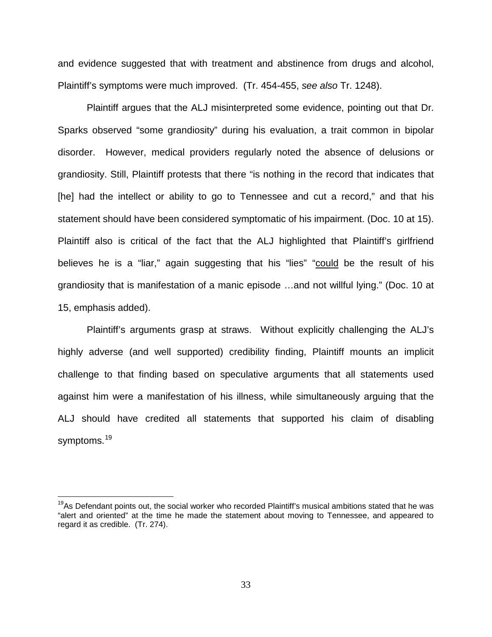and evidence suggested that with treatment and abstinence from drugs and alcohol, Plaintiff's symptoms were much improved. (Tr. 454-455, see also Tr. 1248).

Plaintiff argues that the ALJ misinterpreted some evidence, pointing out that Dr. Sparks observed "some grandiosity" during his evaluation, a trait common in bipolar disorder. However, medical providers regularly noted the absence of delusions or grandiosity. Still, Plaintiff protests that there "is nothing in the record that indicates that [he] had the intellect or ability to go to Tennessee and cut a record," and that his statement should have been considered symptomatic of his impairment. (Doc. 10 at 15). Plaintiff also is critical of the fact that the ALJ highlighted that Plaintiff's girlfriend believes he is a "liar," again suggesting that his "lies" "could be the result of his grandiosity that is manifestation of a manic episode …and not willful lying." (Doc. 10 at 15, emphasis added).

Plaintiff's arguments grasp at straws. Without explicitly challenging the ALJ's highly adverse (and well supported) credibility finding, Plaintiff mounts an implicit challenge to that finding based on speculative arguments that all statements used against him were a manifestation of his illness, while simultaneously arguing that the ALJ should have credited all statements that supported his claim of disabling symptoms.<sup>[19](#page-32-0)</sup>

<u>.</u>

<span id="page-32-0"></span><sup>&</sup>lt;sup>19</sup>As Defendant points out, the social worker who recorded Plaintiff's musical ambitions stated that he was "alert and oriented" at the time he made the statement about moving to Tennessee, and appeared to regard it as credible. (Tr. 274).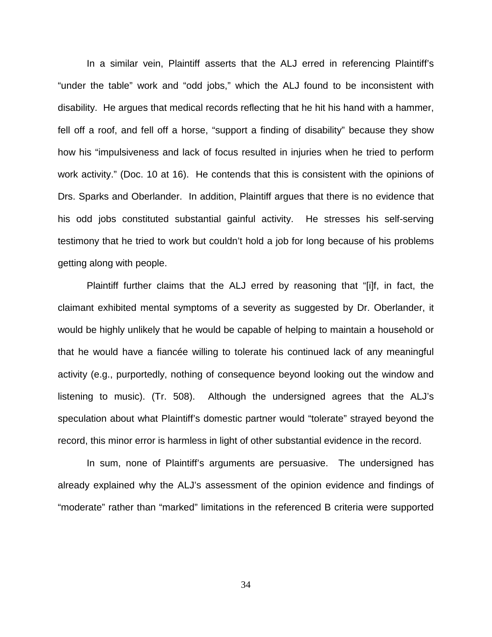In a similar vein, Plaintiff asserts that the ALJ erred in referencing Plaintiff's "under the table" work and "odd jobs," which the ALJ found to be inconsistent with disability. He argues that medical records reflecting that he hit his hand with a hammer, fell off a roof, and fell off a horse, "support a finding of disability" because they show how his "impulsiveness and lack of focus resulted in injuries when he tried to perform work activity." (Doc. 10 at 16). He contends that this is consistent with the opinions of Drs. Sparks and Oberlander. In addition, Plaintiff argues that there is no evidence that his odd jobs constituted substantial gainful activity. He stresses his self-serving testimony that he tried to work but couldn't hold a job for long because of his problems getting along with people.

Plaintiff further claims that the ALJ erred by reasoning that "[i]f, in fact, the claimant exhibited mental symptoms of a severity as suggested by Dr. Oberlander, it would be highly unlikely that he would be capable of helping to maintain a household or that he would have a fiancée willing to tolerate his continued lack of any meaningful activity (e.g., purportedly, nothing of consequence beyond looking out the window and listening to music). (Tr. 508). Although the undersigned agrees that the ALJ's speculation about what Plaintiff's domestic partner would "tolerate" strayed beyond the record, this minor error is harmless in light of other substantial evidence in the record.

In sum, none of Plaintiff's arguments are persuasive. The undersigned has already explained why the ALJ's assessment of the opinion evidence and findings of "moderate" rather than "marked" limitations in the referenced B criteria were supported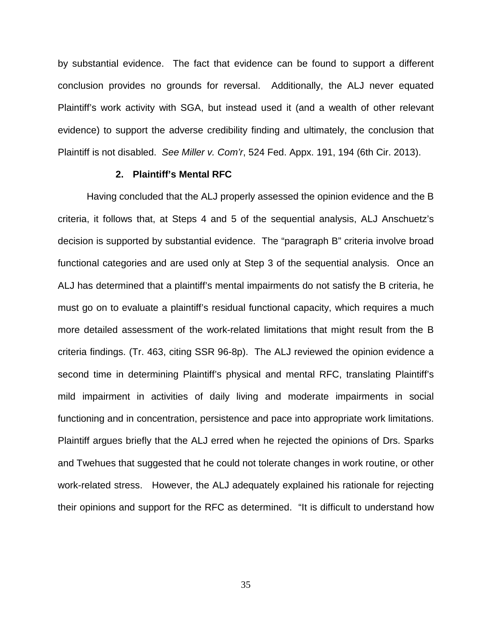by substantial evidence. The fact that evidence can be found to support a different conclusion provides no grounds for reversal. Additionally, the ALJ never equated Plaintiff's work activity with SGA, but instead used it (and a wealth of other relevant evidence) to support the adverse credibility finding and ultimately, the conclusion that Plaintiff is not disabled. See Miller v. Com'r, 524 Fed. Appx. 191, 194 (6th Cir. 2013).

### **2. Plaintiff's Mental RFC**

Having concluded that the ALJ properly assessed the opinion evidence and the B criteria, it follows that, at Steps 4 and 5 of the sequential analysis, ALJ Anschuetz's decision is supported by substantial evidence. The "paragraph B" criteria involve broad functional categories and are used only at Step 3 of the sequential analysis. Once an ALJ has determined that a plaintiff's mental impairments do not satisfy the B criteria, he must go on to evaluate a plaintiff's residual functional capacity, which requires a much more detailed assessment of the work-related limitations that might result from the B criteria findings. (Tr. 463, citing SSR 96-8p). The ALJ reviewed the opinion evidence a second time in determining Plaintiff's physical and mental RFC, translating Plaintiff's mild impairment in activities of daily living and moderate impairments in social functioning and in concentration, persistence and pace into appropriate work limitations. Plaintiff argues briefly that the ALJ erred when he rejected the opinions of Drs. Sparks and Twehues that suggested that he could not tolerate changes in work routine, or other work-related stress. However, the ALJ adequately explained his rationale for rejecting their opinions and support for the RFC as determined. "It is difficult to understand how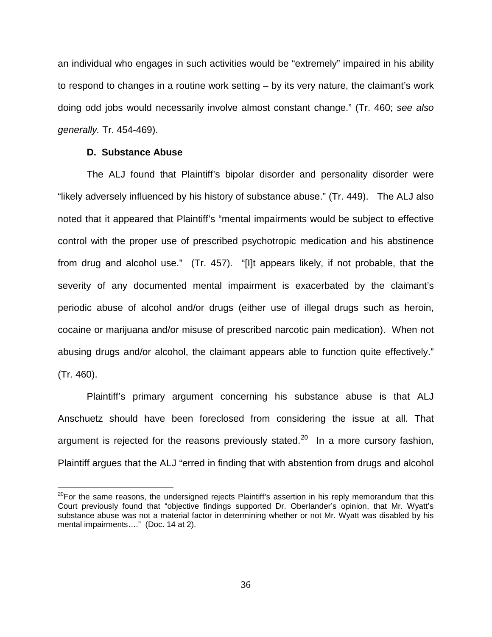an individual who engages in such activities would be "extremely" impaired in his ability to respond to changes in a routine work setting – by its very nature, the claimant's work doing odd jobs would necessarily involve almost constant change." (Tr. 460; see also generally. Tr. 454-469).

### **D. Substance Abuse**

 $\overline{\phantom{a}}$ 

The ALJ found that Plaintiff's bipolar disorder and personality disorder were "likely adversely influenced by his history of substance abuse." (Tr. 449). The ALJ also noted that it appeared that Plaintiff's "mental impairments would be subject to effective control with the proper use of prescribed psychotropic medication and his abstinence from drug and alcohol use." (Tr. 457). "[I]t appears likely, if not probable, that the severity of any documented mental impairment is exacerbated by the claimant's periodic abuse of alcohol and/or drugs (either use of illegal drugs such as heroin, cocaine or marijuana and/or misuse of prescribed narcotic pain medication). When not abusing drugs and/or alcohol, the claimant appears able to function quite effectively." (Tr. 460).

Plaintiff's primary argument concerning his substance abuse is that ALJ Anschuetz should have been foreclosed from considering the issue at all. That argument is rejected for the reasons previously stated.<sup>[20](#page-35-0)</sup> In a more cursory fashion, Plaintiff argues that the ALJ "erred in finding that with abstention from drugs and alcohol

<span id="page-35-0"></span> $20$ For the same reasons, the undersigned rejects Plaintiff's assertion in his reply memorandum that this Court previously found that "objective findings supported Dr. Oberlander's opinion, that Mr. Wyatt's substance abuse was not a material factor in determining whether or not Mr. Wyatt was disabled by his mental impairments...." (Doc. 14 at 2).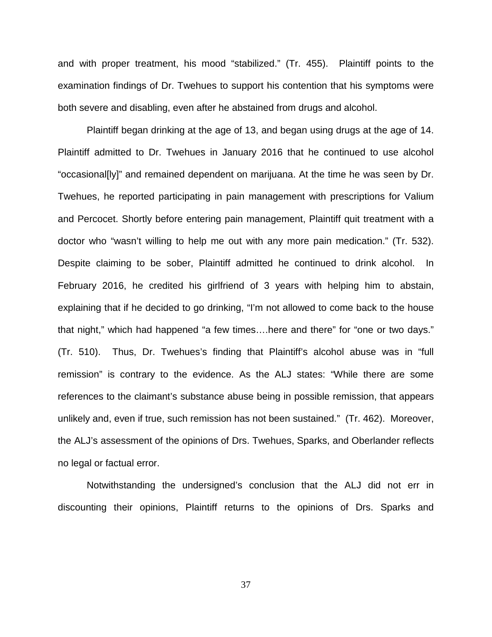and with proper treatment, his mood "stabilized." (Tr. 455). Plaintiff points to the examination findings of Dr. Twehues to support his contention that his symptoms were both severe and disabling, even after he abstained from drugs and alcohol.

Plaintiff began drinking at the age of 13, and began using drugs at the age of 14. Plaintiff admitted to Dr. Twehues in January 2016 that he continued to use alcohol "occasional[ly]" and remained dependent on marijuana. At the time he was seen by Dr. Twehues, he reported participating in pain management with prescriptions for Valium and Percocet. Shortly before entering pain management, Plaintiff quit treatment with a doctor who "wasn't willing to help me out with any more pain medication." (Tr. 532). Despite claiming to be sober, Plaintiff admitted he continued to drink alcohol. In February 2016, he credited his girlfriend of 3 years with helping him to abstain, explaining that if he decided to go drinking, "I'm not allowed to come back to the house that night," which had happened "a few times….here and there" for "one or two days." (Tr. 510). Thus, Dr. Twehues's finding that Plaintiff's alcohol abuse was in "full remission" is contrary to the evidence. As the ALJ states: "While there are some references to the claimant's substance abuse being in possible remission, that appears unlikely and, even if true, such remission has not been sustained." (Tr. 462). Moreover, the ALJ's assessment of the opinions of Drs. Twehues, Sparks, and Oberlander reflects no legal or factual error.

Notwithstanding the undersigned's conclusion that the ALJ did not err in discounting their opinions, Plaintiff returns to the opinions of Drs. Sparks and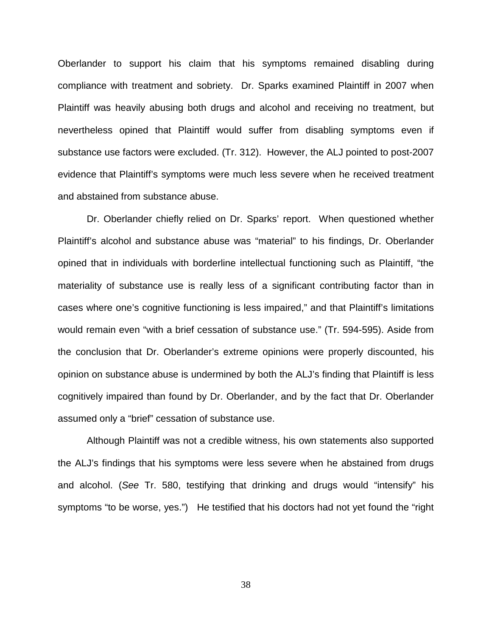Oberlander to support his claim that his symptoms remained disabling during compliance with treatment and sobriety. Dr. Sparks examined Plaintiff in 2007 when Plaintiff was heavily abusing both drugs and alcohol and receiving no treatment, but nevertheless opined that Plaintiff would suffer from disabling symptoms even if substance use factors were excluded. (Tr. 312). However, the ALJ pointed to post-2007 evidence that Plaintiff's symptoms were much less severe when he received treatment and abstained from substance abuse.

Dr. Oberlander chiefly relied on Dr. Sparks' report. When questioned whether Plaintiff's alcohol and substance abuse was "material" to his findings, Dr. Oberlander opined that in individuals with borderline intellectual functioning such as Plaintiff, "the materiality of substance use is really less of a significant contributing factor than in cases where one's cognitive functioning is less impaired," and that Plaintiff's limitations would remain even "with a brief cessation of substance use." (Tr. 594-595). Aside from the conclusion that Dr. Oberlander's extreme opinions were properly discounted, his opinion on substance abuse is undermined by both the ALJ's finding that Plaintiff is less cognitively impaired than found by Dr. Oberlander, and by the fact that Dr. Oberlander assumed only a "brief" cessation of substance use.

Although Plaintiff was not a credible witness, his own statements also supported the ALJ's findings that his symptoms were less severe when he abstained from drugs and alcohol. (See Tr. 580, testifying that drinking and drugs would "intensify" his symptoms "to be worse, yes.") He testified that his doctors had not yet found the "right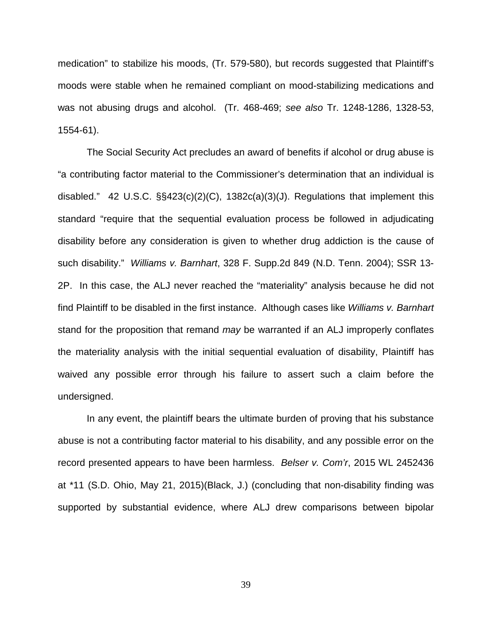medication" to stabilize his moods, (Tr. 579-580), but records suggested that Plaintiff's moods were stable when he remained compliant on mood-stabilizing medications and was not abusing drugs and alcohol. (Tr. 468-469; see also Tr. 1248-1286, 1328-53, 1554-61).

 The Social Security Act precludes an award of benefits if alcohol or drug abuse is "a contributing factor material to the Commissioner's determination that an individual is disabled." 42 U.S.C. §§423(c)(2)(C), 1382c(a)(3)(J). Regulations that implement this standard "require that the sequential evaluation process be followed in adjudicating disability before any consideration is given to whether drug addiction is the cause of such disability." Williams v. Barnhart, 328 F. Supp.2d 849 (N.D. Tenn. 2004); SSR 13-2P. In this case, the ALJ never reached the "materiality" analysis because he did not find Plaintiff to be disabled in the first instance. Although cases like Williams v. Barnhart stand for the proposition that remand may be warranted if an ALJ improperly conflates the materiality analysis with the initial sequential evaluation of disability, Plaintiff has waived any possible error through his failure to assert such a claim before the undersigned.

In any event, the plaintiff bears the ultimate burden of proving that his substance abuse is not a contributing factor material to his disability, and any possible error on the record presented appears to have been harmless. Belser v. Com'r, 2015 WL 2452436 at \*11 (S.D. Ohio, May 21, 2015)(Black, J.) (concluding that non-disability finding was supported by substantial evidence, where ALJ drew comparisons between bipolar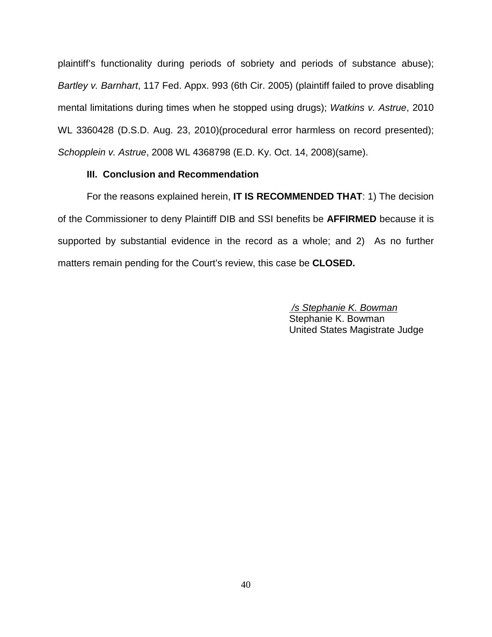plaintiff's functionality during periods of sobriety and periods of substance abuse); Bartley v. Barnhart, 117 Fed. Appx. 993 (6th Cir. 2005) (plaintiff failed to prove disabling mental limitations during times when he stopped using drugs); Watkins v. Astrue, 2010 WL 3360428 (D.S.D. Aug. 23, 2010)(procedural error harmless on record presented); Schopplein v. Astrue, 2008 WL 4368798 (E.D. Ky. Oct. 14, 2008)(same).

## **III. Conclusion and Recommendation**

For the reasons explained herein, **IT IS RECOMMENDED THAT**: 1) The decision of the Commissioner to deny Plaintiff DIB and SSI benefits be **AFFIRMED** because it is supported by substantial evidence in the record as a whole; and 2) As no further matters remain pending for the Court's review, this case be **CLOSED.**

> /s Stephanie K. Bowman Stephanie K. Bowman United States Magistrate Judge